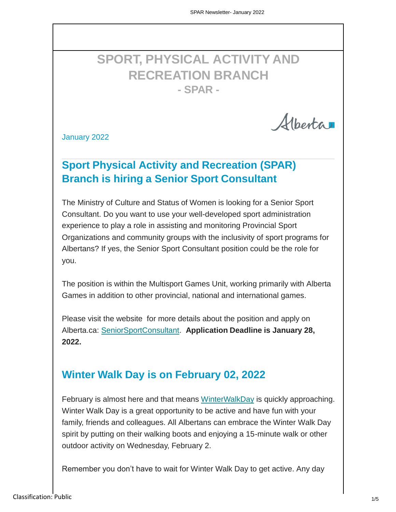# **SPORT, PHYSICAL ACTIVITY AND RECREATION BRANCH - SPAR -**

Albertar

January 2022

## **Sport Physical Activity and Recreation (SPAR) Branch is hiring a Senior Sport Consultant**

The Ministry of Culture and Status of Women is looking for a Senior Sport Consultant. Do you want to use your well-developed sport administration experience to play a role in assisting and monitoring Provincial Sport Organizations and community groups with the inclusivity of sport programs for Albertans? If yes, the Senior Sport Consultant position could be the role for you.

The position is within the Multisport Games Unit, working primarily with Alberta Games in addition to other provincial, national and international games.

Please visit the website for more details about the position and apply on Alberta.ca: [SeniorSportConsultant.](https://jobpostings.alberta.ca/job/Calgary-Senior-Sport-Consultant/554598617/) **Application Deadline is January 28, 2022.**

## **Winter Walk Day is on February 02, 2022**

February is almost here and that means [WinterWalkDay](https://shapeab.com/winter-walk-day/) is quickly approaching. Winter Walk Day is a great opportunity to be active and have fun with your family, friends and colleagues. All Albertans can embrace the Winter Walk Day spirit by putting on their walking boots and enjoying a 15-minute walk or other outdoor activity on Wednesday, February 2.

Remember you don't have to wait for Winter Walk Day to get active. Any day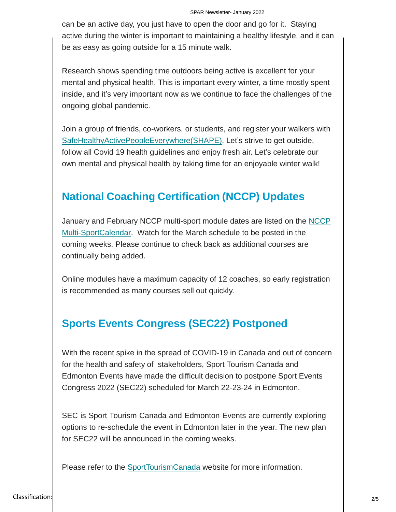can be an active day, you just have to open the door and go for it. Staying active during the winter is important to maintaining a healthy lifestyle, and it can be as easy as going outside for a 15 minute walk.

Research shows spending time outdoors being active is excellent for your mental and physical health. This is important every winter, a time mostly spent inside, and it's very important now as we continue to face the challenges of the ongoing global pandemic.

Join a group of friends, co-workers, or students, and register your walkers with [SafeHealthyActivePeopleEverywhere\(SHAPE\).](https://shapeab.com/winter-walk-day/) Let's strive to get outside, follow all Covid 19 health guidelines and enjoy fresh air. Let's celebrate our own mental and physical health by taking time for an enjoyable winter walk!

#### **National Coaching Certification (NCCP) Updates**

[January and February NCCP multi-sport module dates are listed on the NCCP](https://albertasport.ca/coaching/nccp-multi-sport-module-calendar/) Multi-SportCalendar. Watch for [the March schedule to](https://albertasport.ca/coaching/nccp-multi-sport-module-calendar/) be posted in the coming weeks. Please continue to check back as additional courses are continually being added.

Online modules have a maximum capacity of 12 coaches, so early registration is recommended as many courses sell out quickly.

## **Sports Events Congress (SEC22) Postponed**

With the recent spike in the spread of COVID-19 in Canada and out of concern for the health and safety of stakeholders, Sport Tourism Canada and Edmonton Events have made the difficult decision to postpone Sport Events Congress 2022 (SEC22) scheduled for March 22-23-24 in Edmonton.

SEC is Sport Tourism Canada and Edmonton Events are currently exploring options to re-schedule the event in Edmonton later in the year. The new plan for SEC22 will be announced in the coming weeks.

Please refer to the [SportTourismCanada](https://sporttourismcanada.com/) website for more information.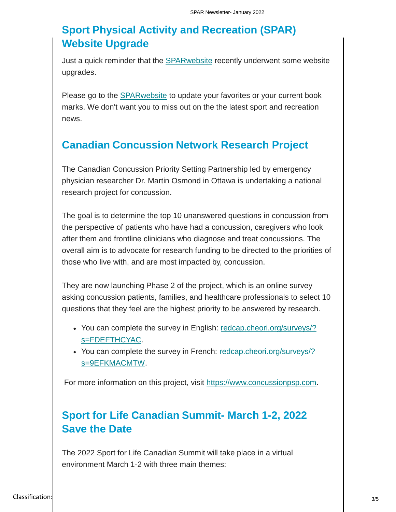## **Sport Physical Activity and Recreation (SPAR) Website Upgrade**

Just a quick reminder that the [SPARwebsite](https://albertasport.ca/) recently underwent some website upgrades.

Please go to the **SPARwebsite** to update your favorites or your current book marks. We don't want you to miss out on the the latest sport and recreation news.

#### **Canadian Concussion Network Research Project**

The Canadian Concussion Priority Setting Partnership led by emergency physician researcher Dr. Martin Osmond in Ottawa is undertaking a national research project for concussion.

The goal is to determine the top 10 unanswered questions in concussion from the perspective of patients who have had a concussion, caregivers who look after them and frontline clinicians who diagnose and treat concussions. The overall aim is to advocate for research funding to be directed to the priorities of those who live with, and are most impacted by, concussion.

They are now launching Phase 2 of the project, which is an online survey asking concussion patients, families, and healthcare professionals to select 10 questions that they feel are the highest priority to be answered by research.

- You [can complete the survey in English: redcap.cheori.org/surveys/?](https://redcap.cheori.org/surveys/?s=FDEFTHCYAC) [s=FDEFTHCYAC.](https://redcap.cheori.org/surveys/?s=FDEFTHCYAC)
- You [can complete the survey in French: redcap.cheori.org/surveys/?](https://redcap.cheori.org/surveys/?s=9EFKMACMTW) [s=9EFKMACMTW.](https://redcap.cheori.org/surveys/?s=9EFKMACMTW)

For more information on this project, visit [https://www.concussionpsp.com.](https://www.concussionpsp.com/)

## **Sport for Life Canadian Summit- March 1-2, 2022 Save the Date**

The 2022 Sport for Life Canadian Summit will take place in a virtual environment March 1-2 with three main themes: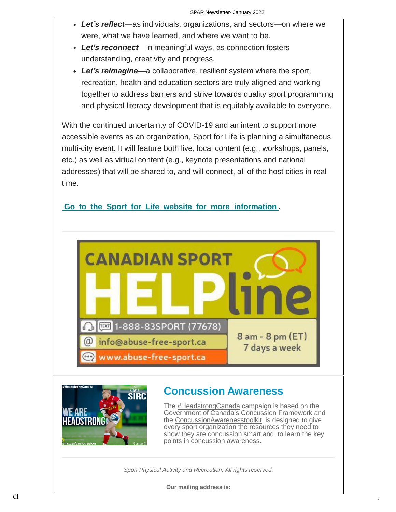- *Let's reflect*—as individuals, organizations, and sectors—on where we were, what we have learned, and where we want to be.
- *Let's reconnect*—in meaningful ways, as connection fosters understanding, creativity and progress.
- *Let's reimagine*—a collaborative, resilient system where the sport, recreation, health and education sectors are truly aligned and working together to address barriers and strive towards quality sport programming and physical literacy development that is equitably available to everyone.

With the continued uncertainty of COVID-19 and an intent to support more accessible events as an organization, Sport for Life is planning a simultaneous multi-city event. It will feature both live, local content (e.g., workshops, panels, etc.) as well as virtual content (e.g., keynote presentations and national addresses) that will be shared to, and will connect, all of the host cities in real time.

#### **Go to the Sport for Life website [for more information](https://sportforlife.ca/blog/save-the-date-2022-sport-for-life-canadian-summit/) .**





## **Concussion Awareness**

The [#HeadstrongCanada](https://twitter.com/hashtag/headstrongcanada) campaign is based on the Government of Canada's Concussion Framework and the [ConcussionAwarenesstoolkit,](https://sirc.ca/concussion) is designed to give every sport organization the resources they need to show they are concussion smart and to learn the key points in concussion awareness.

*Sport Physical Activity and Recreation, All rights reserved.*